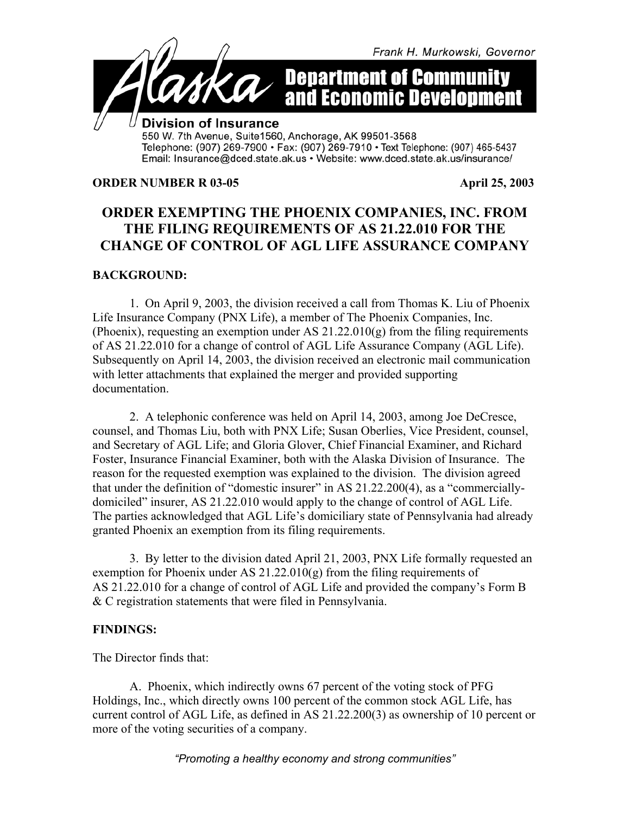

Telephone: (907) 269-7900 • Fax: (907) 269-7910 • Text Telephone: (907) 465-5437 Email: Insurance@dced.state.ak.us • Website: www.dced.state.ak.us/insurance/

#### **ORDER NUMBER R 03-05 April 25, 2003**

# **ORDER EXEMPTING THE PHOENIX COMPANIES, INC. FROM THE FILING REQUIREMENTS OF AS 21.22.010 FOR THE CHANGE OF CONTROL OF AGL LIFE ASSURANCE COMPANY**

# **BACKGROUND:**

1. On April 9, 2003, the division received a call from Thomas K. Liu of Phoenix Life Insurance Company (PNX Life), a member of The Phoenix Companies, Inc. (Phoenix), requesting an exemption under AS 21.22.010(g) from the filing requirements of AS 21.22.010 for a change of control of AGL Life Assurance Company (AGL Life). Subsequently on April 14, 2003, the division received an electronic mail communication with letter attachments that explained the merger and provided supporting documentation.

2. A telephonic conference was held on April 14, 2003, among Joe DeCresce, counsel, and Thomas Liu, both with PNX Life; Susan Oberlies, Vice President, counsel, and Secretary of AGL Life; and Gloria Glover, Chief Financial Examiner, and Richard Foster, Insurance Financial Examiner, both with the Alaska Division of Insurance. The reason for the requested exemption was explained to the division. The division agreed that under the definition of "domestic insurer" in AS 21.22.200(4), as a "commerciallydomiciled" insurer, AS 21.22.010 would apply to the change of control of AGL Life. The parties acknowledged that AGL Life's domiciliary state of Pennsylvania had already granted Phoenix an exemption from its filing requirements.

3. By letter to the division dated April 21, 2003, PNX Life formally requested an exemption for Phoenix under AS  $21.22.010(g)$  from the filing requirements of AS 21.22.010 for a change of control of AGL Life and provided the company's Form B & C registration statements that were filed in Pennsylvania.

## **FINDINGS:**

The Director finds that:

A. Phoenix, which indirectly owns 67 percent of the voting stock of PFG Holdings, Inc., which directly owns 100 percent of the common stock AGL Life, has current control of AGL Life, as defined in AS 21.22.200(3) as ownership of 10 percent or more of the voting securities of a company.

*"Promoting a healthy economy and strong communities"*